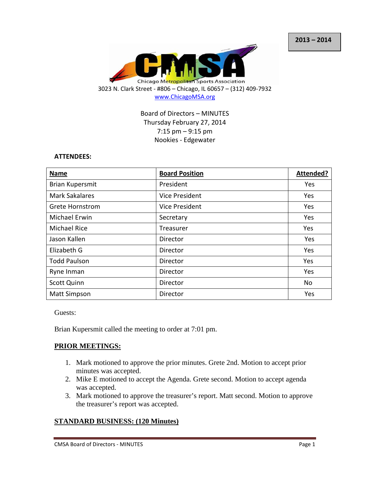

Board of Directors – MINUTES Thursday February 27, 2014 7:15 pm – 9:15 pm Nookies - Edgewater

### **ATTENDEES:**

| <b>Name</b>            | <b>Board Position</b> | Attended? |
|------------------------|-----------------------|-----------|
| <b>Brian Kupersmit</b> | President             | Yes       |
| <b>Mark Sakalares</b>  | Vice President        | Yes       |
| <b>Grete Hornstrom</b> | <b>Vice President</b> | Yes       |
| Michael Erwin          | Secretary             | Yes       |
| <b>Michael Rice</b>    | Treasurer             | Yes       |
| Jason Kallen           | Director              | Yes       |
| Elizabeth G            | Director              | Yes       |
| <b>Todd Paulson</b>    | Director              | Yes       |
| Ryne Inman             | Director              | Yes       |
| <b>Scott Quinn</b>     | Director              | No        |
| <b>Matt Simpson</b>    | Director              | Yes       |

Guests:

Brian Kupersmit called the meeting to order at 7:01 pm.

## **PRIOR MEETINGS:**

- 1. Mark motioned to approve the prior minutes. Grete 2nd. Motion to accept prior minutes was accepted.
- 2. Mike E motioned to accept the Agenda. Grete second. Motion to accept agenda was accepted.
- 3. Mark motioned to approve the treasurer's report. Matt second. Motion to approve the treasurer's report was accepted.

## **STANDARD BUSINESS: (120 Minutes)**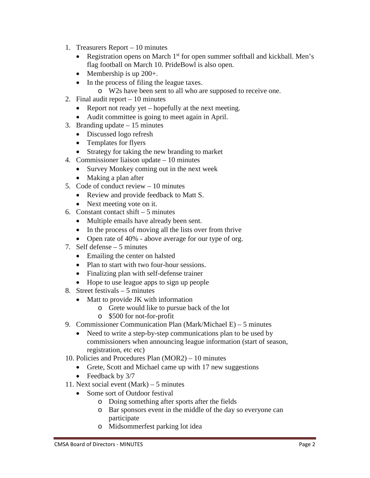- 1. Treasurers Report 10 minutes
	- Registration opens on March  $1<sup>st</sup>$  for open summer softball and kickball. Men's flag football on March 10. PrideBowl is also open.
	- Membership is up 200+.
	- In the process of filing the league taxes.
		- o W2s have been sent to all who are supposed to receive one.
- 2. Final audit report 10 minutes
	- Report not ready yet hopefully at the next meeting.
	- Audit committee is going to meet again in April.
- 3. Branding update 15 minutes
	- Discussed logo refresh
	- Templates for flyers
	- Strategy for taking the new branding to market
- 4. Commissioner liaison update 10 minutes
	- Survey Monkey coming out in the next week
	- Making a plan after
- 5. Code of conduct review 10 minutes
	- Review and provide feedback to Matt S.
	- Next meeting vote on it.
- 6. Constant contact shift  $-5$  minutes
	- Multiple emails have already been sent.
	- In the process of moving all the lists over from thrive
	- Open rate of 40% above average for our type of org.
- 7. Self defense 5 minutes
	- Emailing the center on halsted
	- Plan to start with two four-hour sessions.
	- Finalizing plan with self-defense trainer
	- Hope to use league apps to sign up people
- 8. Street festivals 5 minutes
	- Matt to provide JK with information
		- o Grete would like to pursue back of the lot
		- o \$500 for not-for-profit
- 9. Commissioner Communication Plan (Mark/Michael E) 5 minutes
	- Need to write a step-by-step communications plan to be used by commissioners when announcing league information (start of season, registration, etc etc)
- 10. Policies and Procedures Plan (MOR2) 10 minutes
	- Grete, Scott and Michael came up with 17 new suggestions
	- Feedback by 3/7
- 11. Next social event (Mark) 5 minutes
	- Some sort of Outdoor festival
		- o Doing something after sports after the fields
		- o Bar sponsors event in the middle of the day so everyone can participate
		- o Midsommerfest parking lot idea